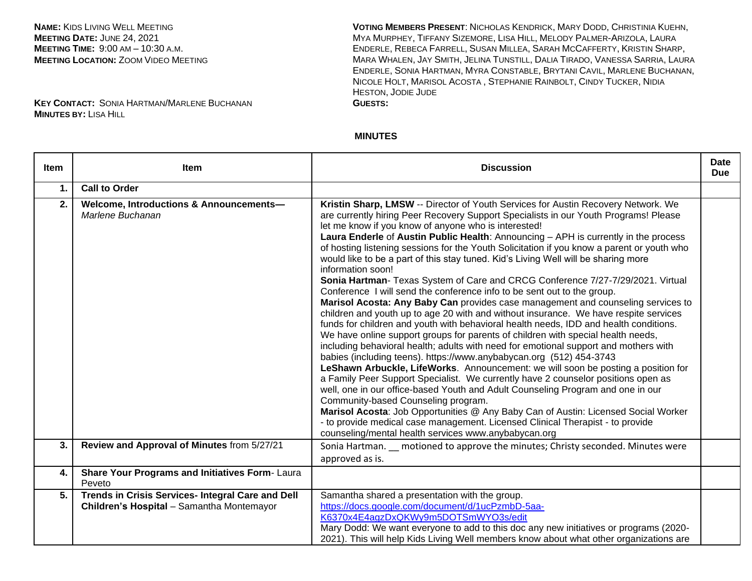**NAME:** KIDS LIVING WELL MEETING **MEETING DATE:** JUNE 24, 2021 **MEETING TIME:** 9:00 AM – 10:30 A.M. **MEETING LOCATION:** ZOOM VIDEO MEETING

**KEY CONTACT:** SONIA HARTMAN/MARLENE BUCHANAN **MINUTES BY:** LISA HILL

**VOTING MEMBERS PRESENT**: NICHOLAS KENDRICK, MARY DODD, CHRISTINIA KUEHN, MYA MURPHEY, TIFFANY SIZEMORE, LISA HILL, MELODY PALMER-ARIZOLA, LAURA ENDERLE, REBECA FARRELL, SUSAN MILLEA, SARAH MCCAFFERTY, KRISTIN SHARP, MARA WHALEN, JAY SMITH, JELINA TUNSTILL, DALIA TIRADO, VANESSA SARRIA, LAURA ENDERLE, SONIA HARTMAN, MYRA CONSTABLE, BRYTANI CAVIL, MARLENE BUCHANAN, NICOLE HOLT, MARISOL ACOSTA , STEPHANIE RAINBOLT, CINDY TUCKER, NIDIA HESTON, JODIE JUDE **GUESTS:**

## **MINUTES**

| Item | <b>Item</b>                                                                                    | <b>Discussion</b>                                                                                                                                                                                                                                                                                                                                                                                                                                                                                                                                                                                                                                                                                                                                                                                                                                                                                                                                                                                                                                                                                                                                                                                                                                                                                                                                                                                                                                                                                                                                                                                                                                                                                                                                           | <b>Date</b><br><b>Due</b> |
|------|------------------------------------------------------------------------------------------------|-------------------------------------------------------------------------------------------------------------------------------------------------------------------------------------------------------------------------------------------------------------------------------------------------------------------------------------------------------------------------------------------------------------------------------------------------------------------------------------------------------------------------------------------------------------------------------------------------------------------------------------------------------------------------------------------------------------------------------------------------------------------------------------------------------------------------------------------------------------------------------------------------------------------------------------------------------------------------------------------------------------------------------------------------------------------------------------------------------------------------------------------------------------------------------------------------------------------------------------------------------------------------------------------------------------------------------------------------------------------------------------------------------------------------------------------------------------------------------------------------------------------------------------------------------------------------------------------------------------------------------------------------------------------------------------------------------------------------------------------------------------|---------------------------|
| 1.   | <b>Call to Order</b>                                                                           |                                                                                                                                                                                                                                                                                                                                                                                                                                                                                                                                                                                                                                                                                                                                                                                                                                                                                                                                                                                                                                                                                                                                                                                                                                                                                                                                                                                                                                                                                                                                                                                                                                                                                                                                                             |                           |
| 2.   | Welcome, Introductions & Announcements-<br>Marlene Buchanan                                    | Kristin Sharp, LMSW -- Director of Youth Services for Austin Recovery Network. We<br>are currently hiring Peer Recovery Support Specialists in our Youth Programs! Please<br>let me know if you know of anyone who is interested!<br>Laura Enderle of Austin Public Health: Announcing - APH is currently in the process<br>of hosting listening sessions for the Youth Solicitation if you know a parent or youth who<br>would like to be a part of this stay tuned. Kid's Living Well will be sharing more<br>information soon!<br>Sonia Hartman- Texas System of Care and CRCG Conference 7/27-7/29/2021. Virtual<br>Conference I will send the conference info to be sent out to the group.<br>Marisol Acosta: Any Baby Can provides case management and counseling services to<br>children and youth up to age 20 with and without insurance. We have respite services<br>funds for children and youth with behavioral health needs, IDD and health conditions.<br>We have online support groups for parents of children with special health needs,<br>including behavioral health; adults with need for emotional support and mothers with<br>babies (including teens). https://www.anybabycan.org (512) 454-3743<br>LeShawn Arbuckle, LifeWorks. Announcement: we will soon be posting a position for<br>a Family Peer Support Specialist. We currently have 2 counselor positions open as<br>well, one in our office-based Youth and Adult Counseling Program and one in our<br>Community-based Counseling program.<br>Marisol Acosta: Job Opportunities @ Any Baby Can of Austin: Licensed Social Worker<br>- to provide medical case management. Licensed Clinical Therapist - to provide<br>counseling/mental health services www.anybabycan.org |                           |
| 3.   | Review and Approval of Minutes from 5/27/21                                                    | Sonia Hartman. _ motioned to approve the minutes; Christy seconded. Minutes were<br>approved as is.                                                                                                                                                                                                                                                                                                                                                                                                                                                                                                                                                                                                                                                                                                                                                                                                                                                                                                                                                                                                                                                                                                                                                                                                                                                                                                                                                                                                                                                                                                                                                                                                                                                         |                           |
| 4.   | Share Your Programs and Initiatives Form-Laura<br>Peveto                                       |                                                                                                                                                                                                                                                                                                                                                                                                                                                                                                                                                                                                                                                                                                                                                                                                                                                                                                                                                                                                                                                                                                                                                                                                                                                                                                                                                                                                                                                                                                                                                                                                                                                                                                                                                             |                           |
| 5.   | Trends in Crisis Services- Integral Care and Dell<br>Children's Hospital - Samantha Montemayor | Samantha shared a presentation with the group.<br>https://docs.google.com/document/d/1ucPzmbD-5aa-<br>K6370x4E4aqzDxQKWy9m5DOTSmWYO3s/edit<br>Mary Dodd: We want everyone to add to this doc any new initiatives or programs (2020-<br>2021). This will help Kids Living Well members know about what other organizations are                                                                                                                                                                                                                                                                                                                                                                                                                                                                                                                                                                                                                                                                                                                                                                                                                                                                                                                                                                                                                                                                                                                                                                                                                                                                                                                                                                                                                               |                           |